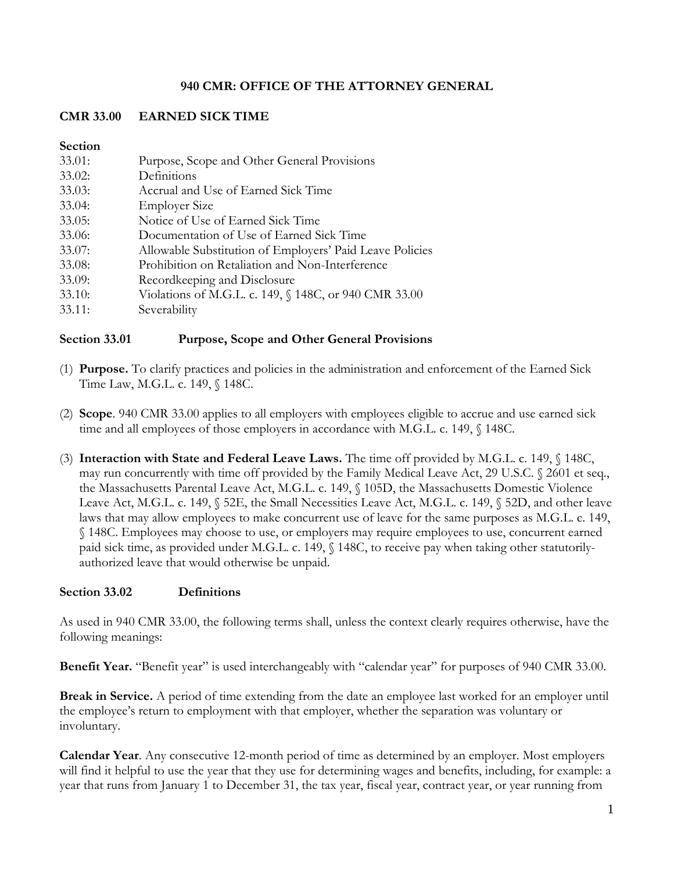### **940 CMR: OFFICE OF THE ATTORNEY GENERAL**

# **CMR 33.00 EARNED SICK TIME**

### **Section**

| 33.01: | Purpose, Scope and Other General Provisions              |
|--------|----------------------------------------------------------|
| 33.02: | Definitions                                              |
| 33.03: | Accrual and Use of Earned Sick Time                      |
| 33.04: | <b>Employer Size</b>                                     |
| 33.05: | Notice of Use of Earned Sick Time                        |
| 33.06: | Documentation of Use of Earned Sick Time                 |
| 33.07: | Allowable Substitution of Employers' Paid Leave Policies |
| 33.08: | Prohibition on Retaliation and Non-Interference          |
| 33.09: | Recordkeeping and Disclosure                             |
| 33.10: | Violations of M.G.L. c. 149, § 148C, or 940 CMR 33.00    |
| 33.11: | Severability                                             |
|        |                                                          |

## **Section 33.01 Purpose, Scope and Other General Provisions**

- (1) **Purpose.** To clarify practices and policies in the administration and enforcement of the Earned Sick Time Law, M.G.L. c. 149, § 148C.
- (2) **Scope**. 940 CMR 33.00 applies to all employers with employees eligible to accrue and use earned sick time and all employees of those employers in accordance with M.G.L. c. 149, § 148C.
- (3) **Interaction with State and Federal Leave Laws.** The time off provided by M.G.L. c. 149, § 148C, may run concurrently with time off provided by the Family Medical Leave Act, 29 U.S.C. § 2601 et seq., the Massachusetts Parental Leave Act, M.G.L. c. 149, § 105D, the Massachusetts Domestic Violence Leave Act, M.G.L. c. 149, § 52E, the Small Necessities Leave Act, M.G.L. c. 149, § 52D, and other leave laws that may allow employees to make concurrent use of leave for the same purposes as M.G.L. c. 149, § 148C. Employees may choose to use, or employers may require employees to use, concurrent earned paid sick time, as provided under M.G.L. c. 149, § 148C, to receive pay when taking other statutorilyauthorized leave that would otherwise be unpaid.

## **Section 33.02 Definitions**

As used in 940 CMR 33.00, the following terms shall, unless the context clearly requires otherwise, have the following meanings:

**Benefit Year.** "Benefit year" is used interchangeably with "calendar year" for purposes of 940 CMR 33.00.

**Break in Service.** A period of time extending from the date an employee last worked for an employer until the employee's return to employment with that employer, whether the separation was voluntary or involuntary.

**Calendar Year**. Any consecutive 12-month period of time as determined by an employer. Most employers will find it helpful to use the year that they use for determining wages and benefits, including, for example: a year that runs from January 1 to December 31, the tax year, fiscal year, contract year, or year running from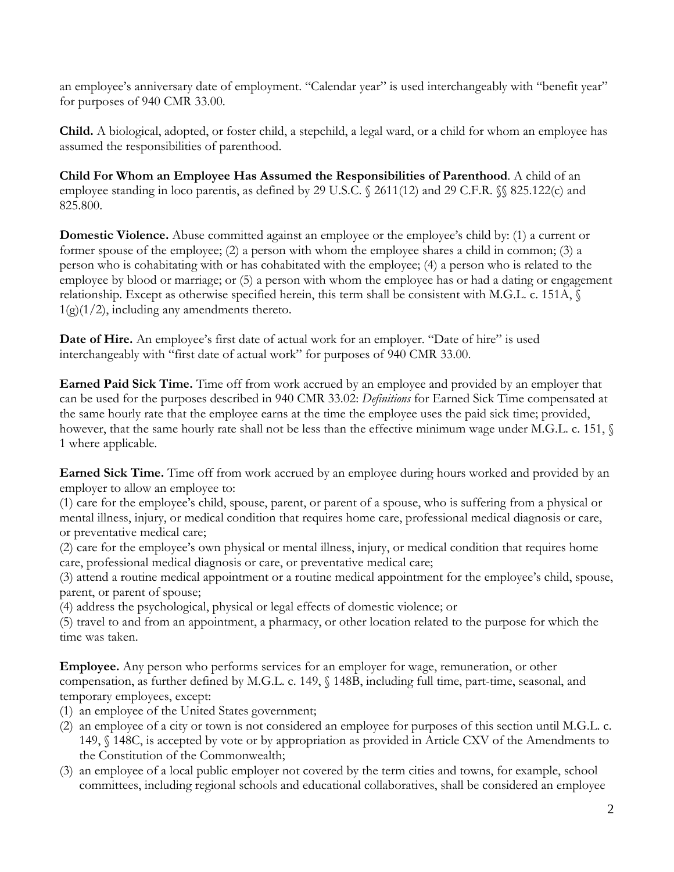an employee's anniversary date of employment. "Calendar year" is used interchangeably with "benefit year" for purposes of 940 CMR 33.00.

**Child.** A biological, adopted, or foster child, a stepchild, a legal ward, or a child for whom an employee has assumed the responsibilities of parenthood.

**Child For Whom an Employee Has Assumed the Responsibilities of Parenthood**. A child of an employee standing in loco parentis, as defined by 29 U.S.C. § 2611(12) and 29 C.F.R. §§ 825.122(c) and 825.800.

**Domestic Violence.** Abuse committed against an employee or the employee's child by: (1) a current or former spouse of the employee; (2) a person with whom the employee shares a child in common; (3) a person who is cohabitating with or has cohabitated with the employee; (4) a person who is related to the employee by blood or marriage; or (5) a person with whom the employee has or had a dating or engagement relationship. Except as otherwise specified herein, this term shall be consistent with M.G.L. c. 151A, §  $1(g)(1/2)$ , including any amendments thereto.

**Date of Hire.** An employee's first date of actual work for an employer. "Date of hire" is used interchangeably with "first date of actual work" for purposes of 940 CMR 33.00.

**Earned Paid Sick Time.** Time off from work accrued by an employee and provided by an employer that can be used for the purposes described in 940 CMR 33.02: *Definitions* for Earned Sick Time compensated at the same hourly rate that the employee earns at the time the employee uses the paid sick time; provided, however, that the same hourly rate shall not be less than the effective minimum wage under M.G.L. c. 151,  $\Diamond$ 1 where applicable.

**Earned Sick Time.** Time off from work accrued by an employee during hours worked and provided by an employer to allow an employee to:

(1) care for the employee's child, spouse, parent, or parent of a spouse, who is suffering from a physical or mental illness, injury, or medical condition that requires home care, professional medical diagnosis or care, or preventative medical care;

(2) care for the employee's own physical or mental illness, injury, or medical condition that requires home care, professional medical diagnosis or care, or preventative medical care;

(3) attend a routine medical appointment or a routine medical appointment for the employee's child, spouse, parent, or parent of spouse;

(4) address the psychological, physical or legal effects of domestic violence; or

(5) travel to and from an appointment, a pharmacy, or other location related to the purpose for which the time was taken.

**Employee.** Any person who performs services for an employer for wage, remuneration, or other compensation, as further defined by M.G.L. c. 149, § 148B, including full time, part-time, seasonal, and temporary employees, except:

- (1) an employee of the United States government;
- (2) an employee of a city or town is not considered an employee for purposes of this section until M.G.L. c. 149, § 148C, is accepted by vote or by appropriation as provided in Article CXV of the Amendments to the Constitution of the Commonwealth;
- (3) an employee of a local public employer not covered by the term cities and towns, for example, school committees, including regional schools and educational collaboratives, shall be considered an employee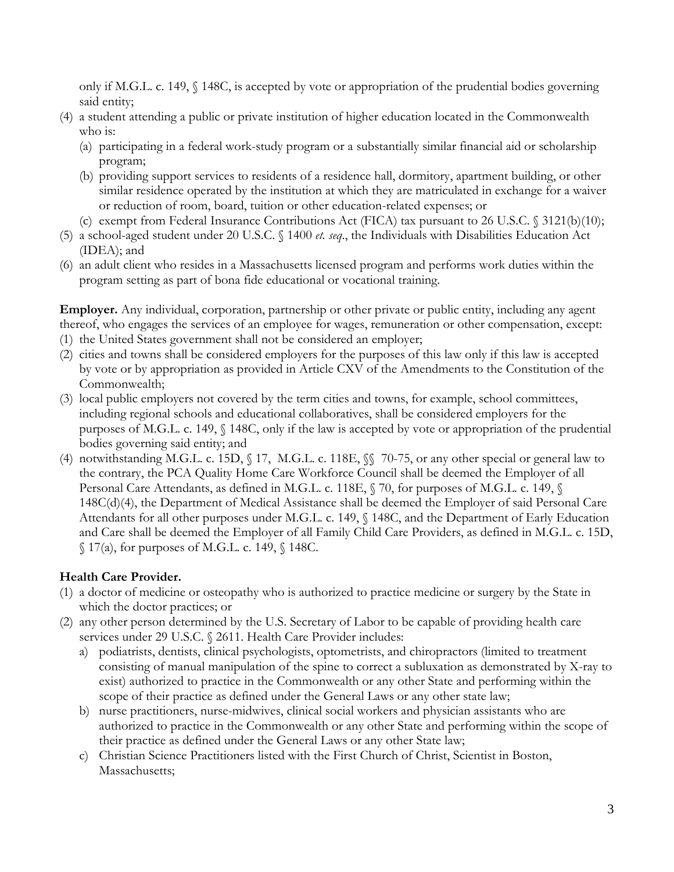only if M.G.L. c. 149, § 148C, is accepted by vote or appropriation of the prudential bodies governing said entity;

- (4) a student attending a public or private institution of higher education located in the Commonwealth who is:
	- (a) participating in a federal work-study program or a substantially similar financial aid or scholarship program;
	- (b) providing support services to residents of a residence hall, dormitory, apartment building, or other similar residence operated by the institution at which they are matriculated in exchange for a waiver or reduction of room, board, tuition or other education-related expenses; or
	- (c) exempt from Federal Insurance Contributions Act (FICA) tax pursuant to 26 U.S.C. § 3121(b)(10);
- (5) a school-aged student under 20 U.S.C. § 1400 *et. seq*., the Individuals with Disabilities Education Act (IDEA); and
- (6) an adult client who resides in a Massachusetts licensed program and performs work duties within the program setting as part of bona fide educational or vocational training.

**Employer.** Any individual, corporation, partnership or other private or public entity, including any agent thereof, who engages the services of an employee for wages, remuneration or other compensation, except:

- (1) the United States government shall not be considered an employer;
- (2) cities and towns shall be considered employers for the purposes of this law only if this law is accepted by vote or by appropriation as provided in Article CXV of the Amendments to the Constitution of the Commonwealth;
- (3) local public employers not covered by the term cities and towns, for example, school committees, including regional schools and educational collaboratives, shall be considered employers for the purposes of M.G.L. c. 149, § 148C, only if the law is accepted by vote or appropriation of the prudential bodies governing said entity; and
- (4) notwithstanding M.G.L. c. 15D, § 17, M.G.L. c. 118E, §§ 70-75, or any other special or general law to the contrary, the PCA Quality Home Care Workforce Council shall be deemed the Employer of all Personal Care Attendants, as defined in M.G.L. c. 118E, § 70, for purposes of M.G.L. c. 149, § 148C(d)(4), the Department of Medical Assistance shall be deemed the Employer of said Personal Care Attendants for all other purposes under M.G.L. c. 149, § 148C, and the Department of Early Education and Care shall be deemed the Employer of all Family Child Care Providers, as defined in M.G.L. c. 15D,  $\{(17(a), 6c)$  purposes of M.G.L. c. 149,  $\{(148C),$

## **Health Care Provider.**

- (1) a doctor of medicine or osteopathy who is authorized to practice medicine or surgery by the State in which the doctor practices; or
- (2) any other person determined by the U.S. Secretary of Labor to be capable of providing health care services under 29 U.S.C. § 2611. Health Care Provider includes:
	- a) podiatrists, dentists, clinical psychologists, optometrists, and chiropractors (limited to treatment consisting of manual manipulation of the spine to correct a subluxation as demonstrated by X-ray to exist) authorized to practice in the Commonwealth or any other State and performing within the scope of their practice as defined under the General Laws or any other state law;
	- b) nurse practitioners, nurse-midwives, clinical social workers and physician assistants who are authorized to practice in the Commonwealth or any other State and performing within the scope of their practice as defined under the General Laws or any other State law;
	- c) Christian Science Practitioners listed with the First Church of Christ, Scientist in Boston, Massachusetts;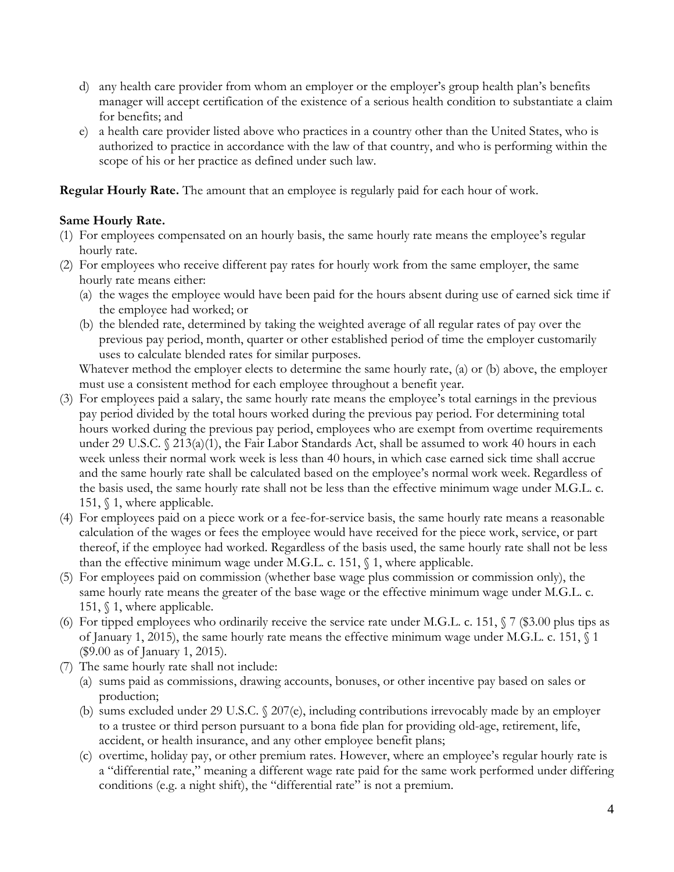- d) any health care provider from whom an employer or the employer's group health plan's benefits manager will accept certification of the existence of a serious health condition to substantiate a claim for benefits; and
- e) a health care provider listed above who practices in a country other than the United States, who is authorized to practice in accordance with the law of that country, and who is performing within the scope of his or her practice as defined under such law.

**Regular Hourly Rate.** The amount that an employee is regularly paid for each hour of work.

### **Same Hourly Rate.**

- (1) For employees compensated on an hourly basis, the same hourly rate means the employee's regular hourly rate.
- (2) For employees who receive different pay rates for hourly work from the same employer, the same hourly rate means either:
	- (a) the wages the employee would have been paid for the hours absent during use of earned sick time if the employee had worked; or
	- (b) the blended rate, determined by taking the weighted average of all regular rates of pay over the previous pay period, month, quarter or other established period of time the employer customarily uses to calculate blended rates for similar purposes.

Whatever method the employer elects to determine the same hourly rate, (a) or (b) above, the employer must use a consistent method for each employee throughout a benefit year.

- (3) For employees paid a salary, the same hourly rate means the employee's total earnings in the previous pay period divided by the total hours worked during the previous pay period. For determining total hours worked during the previous pay period, employees who are exempt from overtime requirements under 29 U.S.C. § 213(a)(1), the Fair Labor Standards Act, shall be assumed to work 40 hours in each week unless their normal work week is less than 40 hours, in which case earned sick time shall accrue and the same hourly rate shall be calculated based on the employee's normal work week. Regardless of the basis used, the same hourly rate shall not be less than the effective minimum wage under M.G.L. c. 151, § 1, where applicable.
- (4) For employees paid on a piece work or a fee-for-service basis, the same hourly rate means a reasonable calculation of the wages or fees the employee would have received for the piece work, service, or part thereof, if the employee had worked. Regardless of the basis used, the same hourly rate shall not be less than the effective minimum wage under M.G.L. c. 151,  $\S$  1, where applicable.
- (5) For employees paid on commission (whether base wage plus commission or commission only), the same hourly rate means the greater of the base wage or the effective minimum wage under M.G.L. c. 151, § 1, where applicable.
- (6) For tipped employees who ordinarily receive the service rate under M.G.L. c. 151,  $\sqrt{7}$  (\$3.00 plus tips as of January 1, 2015), the same hourly rate means the effective minimum wage under M.G.L. c. 151, § 1 (\$9.00 as of January 1, 2015).
- (7) The same hourly rate shall not include:
	- (a) sums paid as commissions, drawing accounts, bonuses, or other incentive pay based on sales or production;
	- (b) sums excluded under 29 U.S.C. § 207(e), including contributions irrevocably made by an employer to a trustee or third person pursuant to a bona fide plan for providing old-age, retirement, life, accident, or health insurance, and any other employee benefit plans;
	- (c) overtime, holiday pay, or other premium rates. However, where an employee's regular hourly rate is a "differential rate," meaning a different wage rate paid for the same work performed under differing conditions (e.g. a night shift), the "differential rate" is not a premium.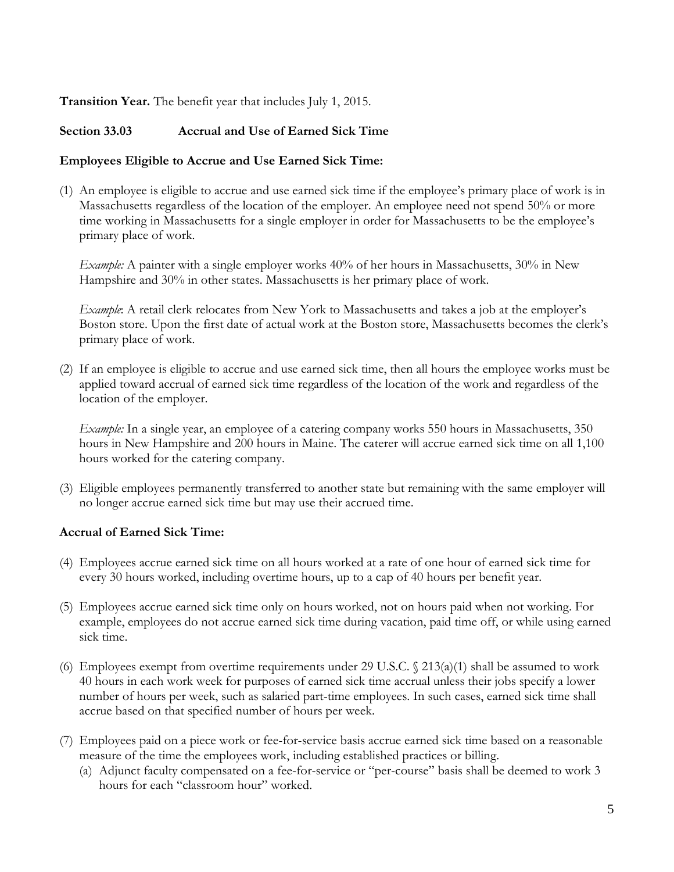### **Transition Year.** The benefit year that includes July 1, 2015.

### **Section 33.03 Accrual and Use of Earned Sick Time**

#### **Employees Eligible to Accrue and Use Earned Sick Time:**

(1) An employee is eligible to accrue and use earned sick time if the employee's primary place of work is in Massachusetts regardless of the location of the employer. An employee need not spend 50% or more time working in Massachusetts for a single employer in order for Massachusetts to be the employee's primary place of work.

*Example:* A painter with a single employer works 40% of her hours in Massachusetts, 30% in New Hampshire and 30% in other states. Massachusetts is her primary place of work.

*Example*: A retail clerk relocates from New York to Massachusetts and takes a job at the employer's Boston store. Upon the first date of actual work at the Boston store, Massachusetts becomes the clerk's primary place of work.

(2) If an employee is eligible to accrue and use earned sick time, then all hours the employee works must be applied toward accrual of earned sick time regardless of the location of the work and regardless of the location of the employer.

*Example:* In a single year, an employee of a catering company works 550 hours in Massachusetts, 350 hours in New Hampshire and 200 hours in Maine. The caterer will accrue earned sick time on all 1,100 hours worked for the catering company.

(3) Eligible employees permanently transferred to another state but remaining with the same employer will no longer accrue earned sick time but may use their accrued time.

#### **Accrual of Earned Sick Time:**

- (4) Employees accrue earned sick time on all hours worked at a rate of one hour of earned sick time for every 30 hours worked, including overtime hours, up to a cap of 40 hours per benefit year.
- (5) Employees accrue earned sick time only on hours worked, not on hours paid when not working. For example, employees do not accrue earned sick time during vacation, paid time off, or while using earned sick time.
- (6) Employees exempt from overtime requirements under 29 U.S.C.  $\frac{213(a)(1)}{13(a)(1)}$  shall be assumed to work 40 hours in each work week for purposes of earned sick time accrual unless their jobs specify a lower number of hours per week, such as salaried part-time employees. In such cases, earned sick time shall accrue based on that specified number of hours per week.
- (7) Employees paid on a piece work or fee-for-service basis accrue earned sick time based on a reasonable measure of the time the employees work, including established practices or billing.
	- (a) Adjunct faculty compensated on a fee-for-service or "per-course" basis shall be deemed to work 3 hours for each "classroom hour" worked.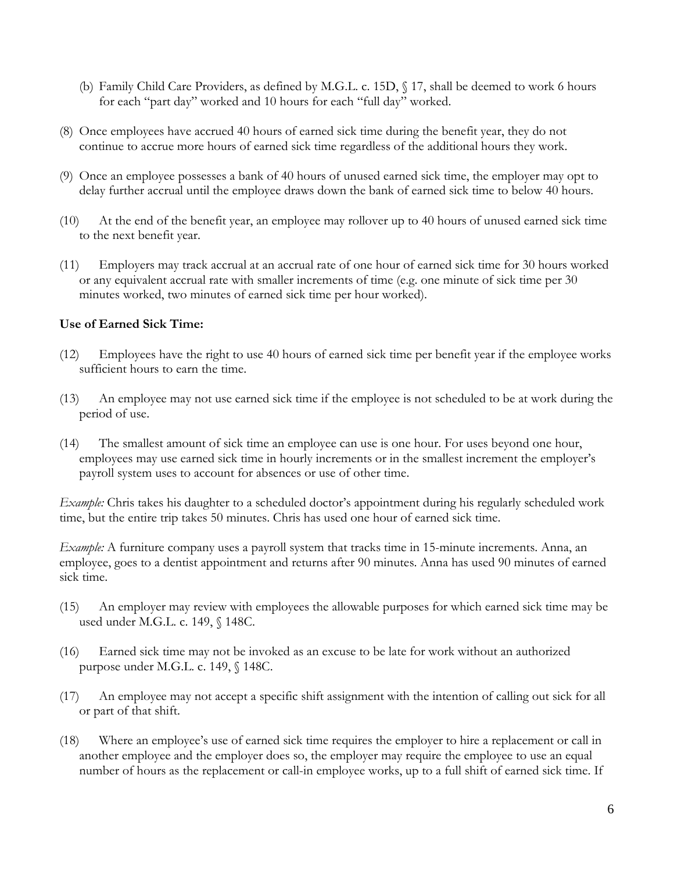- (b) Family Child Care Providers, as defined by M.G.L. c. 15D, § 17, shall be deemed to work 6 hours for each "part day" worked and 10 hours for each "full day" worked.
- (8) Once employees have accrued 40 hours of earned sick time during the benefit year, they do not continue to accrue more hours of earned sick time regardless of the additional hours they work.
- (9) Once an employee possesses a bank of 40 hours of unused earned sick time, the employer may opt to delay further accrual until the employee draws down the bank of earned sick time to below 40 hours.
- (10) At the end of the benefit year, an employee may rollover up to 40 hours of unused earned sick time to the next benefit year.
- (11) Employers may track accrual at an accrual rate of one hour of earned sick time for 30 hours worked or any equivalent accrual rate with smaller increments of time (e.g. one minute of sick time per 30 minutes worked, two minutes of earned sick time per hour worked).

#### **Use of Earned Sick Time:**

- (12) Employees have the right to use 40 hours of earned sick time per benefit year if the employee works sufficient hours to earn the time.
- (13) An employee may not use earned sick time if the employee is not scheduled to be at work during the period of use.
- (14) The smallest amount of sick time an employee can use is one hour. For uses beyond one hour, employees may use earned sick time in hourly increments or in the smallest increment the employer's payroll system uses to account for absences or use of other time.

*Example:* Chris takes his daughter to a scheduled doctor's appointment during his regularly scheduled work time, but the entire trip takes 50 minutes. Chris has used one hour of earned sick time.

*Example:* A furniture company uses a payroll system that tracks time in 15-minute increments. Anna, an employee, goes to a dentist appointment and returns after 90 minutes. Anna has used 90 minutes of earned sick time.

- (15) An employer may review with employees the allowable purposes for which earned sick time may be used under M.G.L. c. 149, § 148C.
- (16) Earned sick time may not be invoked as an excuse to be late for work without an authorized purpose under M.G.L. c. 149, § 148C.
- (17) An employee may not accept a specific shift assignment with the intention of calling out sick for all or part of that shift.
- (18) Where an employee's use of earned sick time requires the employer to hire a replacement or call in another employee and the employer does so, the employer may require the employee to use an equal number of hours as the replacement or call-in employee works, up to a full shift of earned sick time. If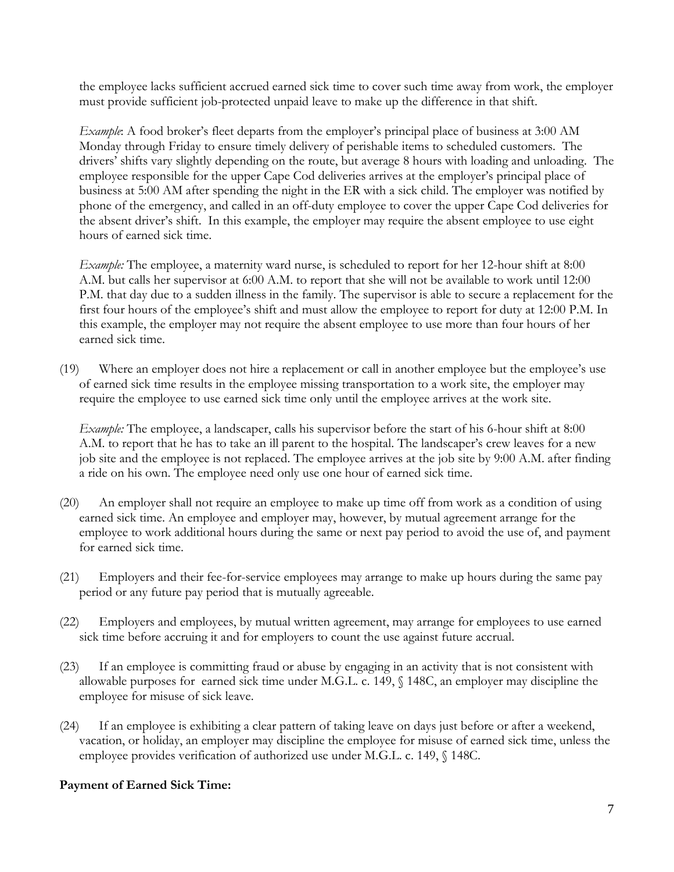the employee lacks sufficient accrued earned sick time to cover such time away from work, the employer must provide sufficient job-protected unpaid leave to make up the difference in that shift.

*Example*: A food broker's fleet departs from the employer's principal place of business at 3:00 AM Monday through Friday to ensure timely delivery of perishable items to scheduled customers. The drivers' shifts vary slightly depending on the route, but average 8 hours with loading and unloading. The employee responsible for the upper Cape Cod deliveries arrives at the employer's principal place of business at 5:00 AM after spending the night in the ER with a sick child. The employer was notified by phone of the emergency, and called in an off-duty employee to cover the upper Cape Cod deliveries for the absent driver's shift. In this example, the employer may require the absent employee to use eight hours of earned sick time.

*Example:* The employee, a maternity ward nurse, is scheduled to report for her 12-hour shift at 8:00 A.M. but calls her supervisor at 6:00 A.M. to report that she will not be available to work until 12:00 P.M. that day due to a sudden illness in the family. The supervisor is able to secure a replacement for the first four hours of the employee's shift and must allow the employee to report for duty at 12:00 P.M. In this example, the employer may not require the absent employee to use more than four hours of her earned sick time.

(19) Where an employer does not hire a replacement or call in another employee but the employee's use of earned sick time results in the employee missing transportation to a work site, the employer may require the employee to use earned sick time only until the employee arrives at the work site.

*Example:* The employee, a landscaper, calls his supervisor before the start of his 6-hour shift at 8:00 A.M. to report that he has to take an ill parent to the hospital. The landscaper's crew leaves for a new job site and the employee is not replaced. The employee arrives at the job site by 9:00 A.M. after finding a ride on his own. The employee need only use one hour of earned sick time.

- (20) An employer shall not require an employee to make up time off from work as a condition of using earned sick time. An employee and employer may, however, by mutual agreement arrange for the employee to work additional hours during the same or next pay period to avoid the use of, and payment for earned sick time.
- (21) Employers and their fee-for-service employees may arrange to make up hours during the same pay period or any future pay period that is mutually agreeable.
- (22) Employers and employees, by mutual written agreement, may arrange for employees to use earned sick time before accruing it and for employers to count the use against future accrual.
- (23) If an employee is committing fraud or abuse by engaging in an activity that is not consistent with allowable purposes for earned sick time under M.G.L. c. 149, § 148C, an employer may discipline the employee for misuse of sick leave.
- (24) If an employee is exhibiting a clear pattern of taking leave on days just before or after a weekend, vacation, or holiday, an employer may discipline the employee for misuse of earned sick time, unless the employee provides verification of authorized use under M.G.L. c. 149, § 148C.

## **Payment of Earned Sick Time:**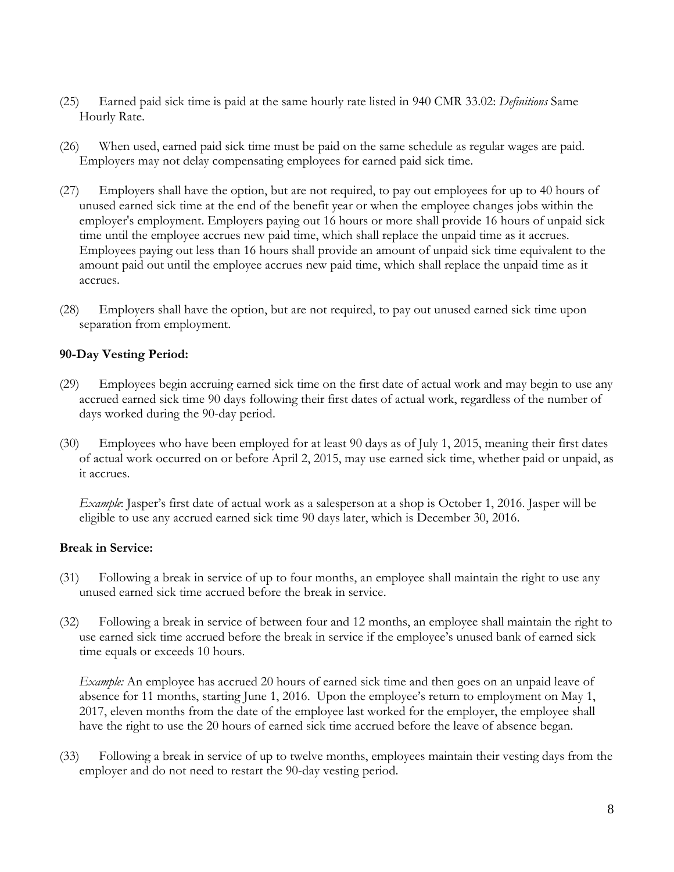- (25) Earned paid sick time is paid at the same hourly rate listed in 940 CMR 33.02: *Definitions* Same Hourly Rate.
- (26) When used, earned paid sick time must be paid on the same schedule as regular wages are paid. Employers may not delay compensating employees for earned paid sick time.
- (27) Employers shall have the option, but are not required, to pay out employees for up to 40 hours of unused earned sick time at the end of the benefit year or when the employee changes jobs within the employer's employment. Employers paying out 16 hours or more shall provide 16 hours of unpaid sick time until the employee accrues new paid time, which shall replace the unpaid time as it accrues. Employees paying out less than 16 hours shall provide an amount of unpaid sick time equivalent to the amount paid out until the employee accrues new paid time, which shall replace the unpaid time as it accrues.
- (28) Employers shall have the option, but are not required, to pay out unused earned sick time upon separation from employment.

### **90-Day Vesting Period:**

- (29) Employees begin accruing earned sick time on the first date of actual work and may begin to use any accrued earned sick time 90 days following their first dates of actual work, regardless of the number of days worked during the 90-day period.
- (30) Employees who have been employed for at least 90 days as of July 1, 2015, meaning their first dates of actual work occurred on or before April 2, 2015, may use earned sick time, whether paid or unpaid, as it accrues.

*Example*: Jasper's first date of actual work as a salesperson at a shop is October 1, 2016. Jasper will be eligible to use any accrued earned sick time 90 days later, which is December 30, 2016.

#### **Break in Service:**

- (31) Following a break in service of up to four months, an employee shall maintain the right to use any unused earned sick time accrued before the break in service.
- (32) Following a break in service of between four and 12 months, an employee shall maintain the right to use earned sick time accrued before the break in service if the employee's unused bank of earned sick time equals or exceeds 10 hours.

*Example:* An employee has accrued 20 hours of earned sick time and then goes on an unpaid leave of absence for 11 months, starting June 1, 2016. Upon the employee's return to employment on May 1, 2017, eleven months from the date of the employee last worked for the employer, the employee shall have the right to use the 20 hours of earned sick time accrued before the leave of absence began.

(33) Following a break in service of up to twelve months, employees maintain their vesting days from the employer and do not need to restart the 90-day vesting period.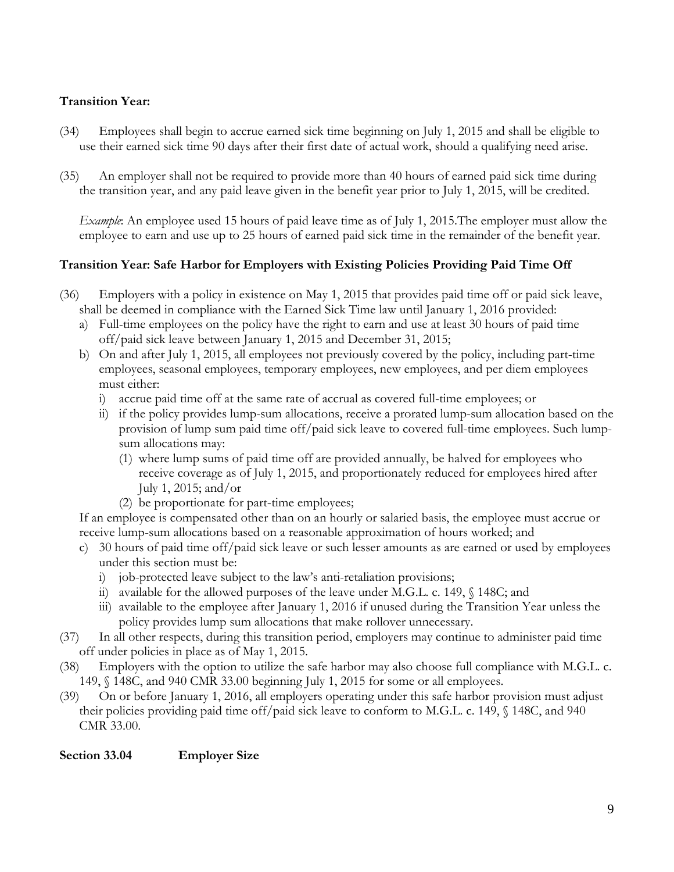# **Transition Year:**

- (34) Employees shall begin to accrue earned sick time beginning on July 1, 2015 and shall be eligible to use their earned sick time 90 days after their first date of actual work, should a qualifying need arise.
- (35) An employer shall not be required to provide more than 40 hours of earned paid sick time during the transition year, and any paid leave given in the benefit year prior to July 1, 2015, will be credited.

*Example*: An employee used 15 hours of paid leave time as of July 1, 2015.The employer must allow the employee to earn and use up to 25 hours of earned paid sick time in the remainder of the benefit year.

## **Transition Year: Safe Harbor for Employers with Existing Policies Providing Paid Time Off**

- (36) Employers with a policy in existence on May 1, 2015 that provides paid time off or paid sick leave, shall be deemed in compliance with the Earned Sick Time law until January 1, 2016 provided:
	- a) Full-time employees on the policy have the right to earn and use at least 30 hours of paid time off/paid sick leave between January 1, 2015 and December 31, 2015;
	- b) On and after July 1, 2015, all employees not previously covered by the policy, including part-time employees, seasonal employees, temporary employees, new employees, and per diem employees must either:
		- i) accrue paid time off at the same rate of accrual as covered full-time employees; or
		- ii) if the policy provides lump-sum allocations, receive a prorated lump-sum allocation based on the provision of lump sum paid time off/paid sick leave to covered full-time employees. Such lumpsum allocations may:
			- (1) where lump sums of paid time off are provided annually, be halved for employees who receive coverage as of July 1, 2015, and proportionately reduced for employees hired after July 1, 2015; and/or
			- (2) be proportionate for part-time employees;

If an employee is compensated other than on an hourly or salaried basis, the employee must accrue or receive lump-sum allocations based on a reasonable approximation of hours worked; and

- c) 30 hours of paid time off/paid sick leave or such lesser amounts as are earned or used by employees under this section must be:
	- i) job-protected leave subject to the law's anti-retaliation provisions;
	- ii) available for the allowed purposes of the leave under M.G.L. c. 149, § 148C; and
	- iii) available to the employee after January 1, 2016 if unused during the Transition Year unless the policy provides lump sum allocations that make rollover unnecessary.
- (37) In all other respects, during this transition period, employers may continue to administer paid time off under policies in place as of May 1, 2015.
- (38) Employers with the option to utilize the safe harbor may also choose full compliance with M.G.L. c. 149, § 148C, and 940 CMR 33.00 beginning July 1, 2015 for some or all employees.
- (39) On or before January 1, 2016, all employers operating under this safe harbor provision must adjust their policies providing paid time off/paid sick leave to conform to M.G.L. c. 149, § 148C, and 940 CMR 33.00.

## **Section 33.04 Employer Size**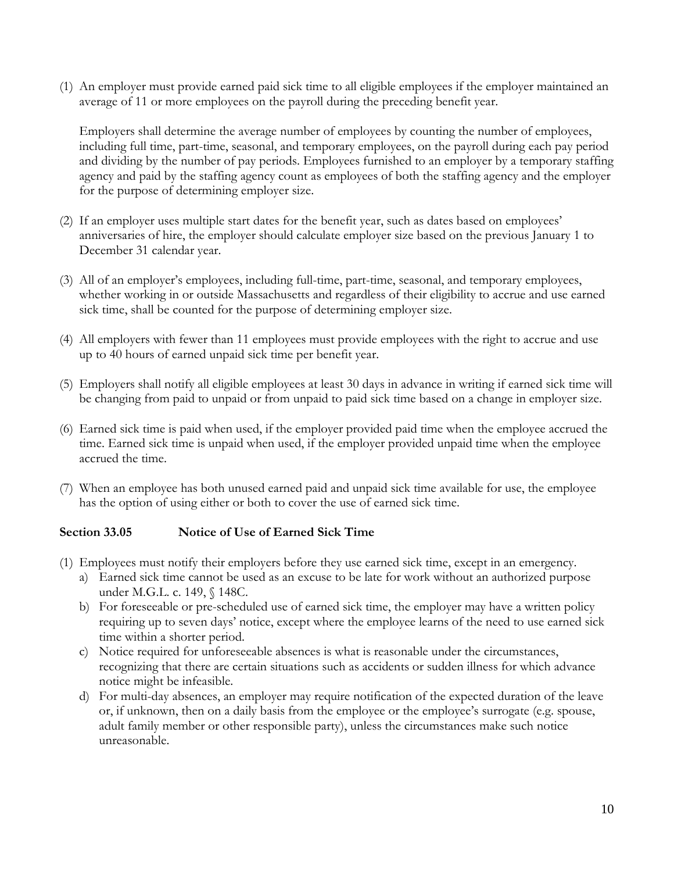(1) An employer must provide earned paid sick time to all eligible employees if the employer maintained an average of 11 or more employees on the payroll during the preceding benefit year.

Employers shall determine the average number of employees by counting the number of employees, including full time, part-time, seasonal, and temporary employees, on the payroll during each pay period and dividing by the number of pay periods. Employees furnished to an employer by a temporary staffing agency and paid by the staffing agency count as employees of both the staffing agency and the employer for the purpose of determining employer size.

- (2) If an employer uses multiple start dates for the benefit year, such as dates based on employees' anniversaries of hire, the employer should calculate employer size based on the previous January 1 to December 31 calendar year.
- (3) All of an employer's employees, including full-time, part-time, seasonal, and temporary employees, whether working in or outside Massachusetts and regardless of their eligibility to accrue and use earned sick time, shall be counted for the purpose of determining employer size.
- (4) All employers with fewer than 11 employees must provide employees with the right to accrue and use up to 40 hours of earned unpaid sick time per benefit year.
- (5) Employers shall notify all eligible employees at least 30 days in advance in writing if earned sick time will be changing from paid to unpaid or from unpaid to paid sick time based on a change in employer size.
- (6) Earned sick time is paid when used, if the employer provided paid time when the employee accrued the time. Earned sick time is unpaid when used, if the employer provided unpaid time when the employee accrued the time.
- (7) When an employee has both unused earned paid and unpaid sick time available for use, the employee has the option of using either or both to cover the use of earned sick time.

## **Section 33.05 Notice of Use of Earned Sick Time**

- (1) Employees must notify their employers before they use earned sick time, except in an emergency.
	- a) Earned sick time cannot be used as an excuse to be late for work without an authorized purpose under M.G.L. c. 149, § 148C.
	- b) For foreseeable or pre-scheduled use of earned sick time, the employer may have a written policy requiring up to seven days' notice, except where the employee learns of the need to use earned sick time within a shorter period.
	- c) Notice required for unforeseeable absences is what is reasonable under the circumstances, recognizing that there are certain situations such as accidents or sudden illness for which advance notice might be infeasible.
	- d) For multi-day absences, an employer may require notification of the expected duration of the leave or, if unknown, then on a daily basis from the employee or the employee's surrogate (e.g. spouse, adult family member or other responsible party), unless the circumstances make such notice unreasonable.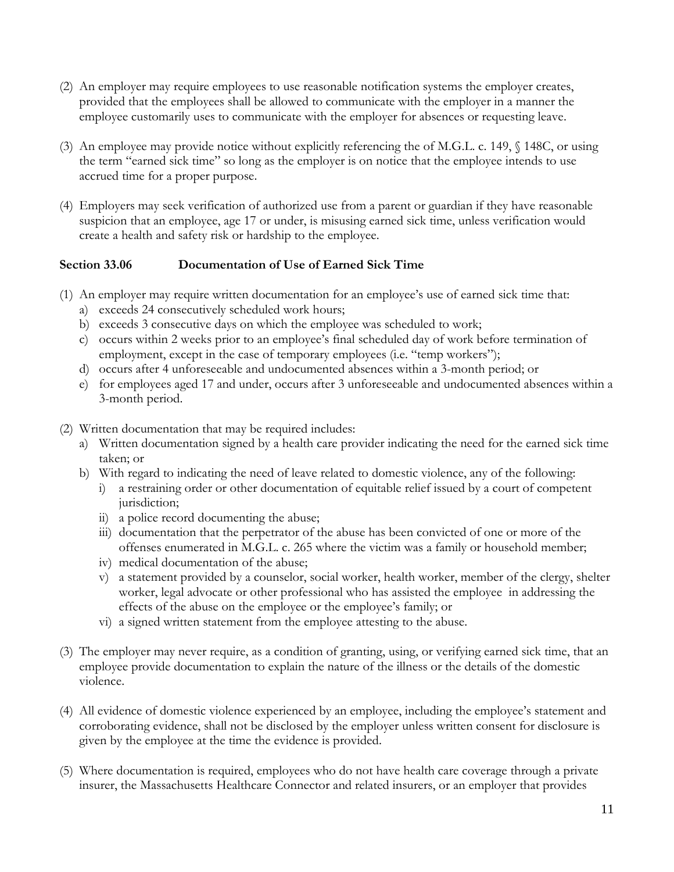- (2) An employer may require employees to use reasonable notification systems the employer creates, provided that the employees shall be allowed to communicate with the employer in a manner the employee customarily uses to communicate with the employer for absences or requesting leave.
- (3) An employee may provide notice without explicitly referencing the of M.G.L. c. 149, § 148C, or using the term "earned sick time" so long as the employer is on notice that the employee intends to use accrued time for a proper purpose.
- (4) Employers may seek verification of authorized use from a parent or guardian if they have reasonable suspicion that an employee, age 17 or under, is misusing earned sick time, unless verification would create a health and safety risk or hardship to the employee.

## **Section 33.06 Documentation of Use of Earned Sick Time**

- (1) An employer may require written documentation for an employee's use of earned sick time that:
	- a) exceeds 24 consecutively scheduled work hours;
	- b) exceeds 3 consecutive days on which the employee was scheduled to work;
	- c) occurs within 2 weeks prior to an employee's final scheduled day of work before termination of employment, except in the case of temporary employees (i.e. "temp workers");
	- d) occurs after 4 unforeseeable and undocumented absences within a 3-month period; or
	- e) for employees aged 17 and under, occurs after 3 unforeseeable and undocumented absences within a 3-month period.
- (2) Written documentation that may be required includes:
	- a) Written documentation signed by a health care provider indicating the need for the earned sick time taken; or
	- b) With regard to indicating the need of leave related to domestic violence, any of the following:
		- i) a restraining order or other documentation of equitable relief issued by a court of competent jurisdiction;
		- ii) a police record documenting the abuse;
		- iii) documentation that the perpetrator of the abuse has been convicted of one or more of the offenses enumerated in M.G.L. c. 265 where the victim was a family or household member;
		- iv) medical documentation of the abuse;
		- v) a statement provided by a counselor, social worker, health worker, member of the clergy, shelter worker, legal advocate or other professional who has assisted the employee in addressing the effects of the abuse on the employee or the employee's family; or
		- vi) a signed written statement from the employee attesting to the abuse.
- (3) The employer may never require, as a condition of granting, using, or verifying earned sick time, that an employee provide documentation to explain the nature of the illness or the details of the domestic violence.
- (4) All evidence of domestic violence experienced by an employee, including the employee's statement and corroborating evidence, shall not be disclosed by the employer unless written consent for disclosure is given by the employee at the time the evidence is provided.
- (5) Where documentation is required, employees who do not have health care coverage through a private insurer, the Massachusetts Healthcare Connector and related insurers, or an employer that provides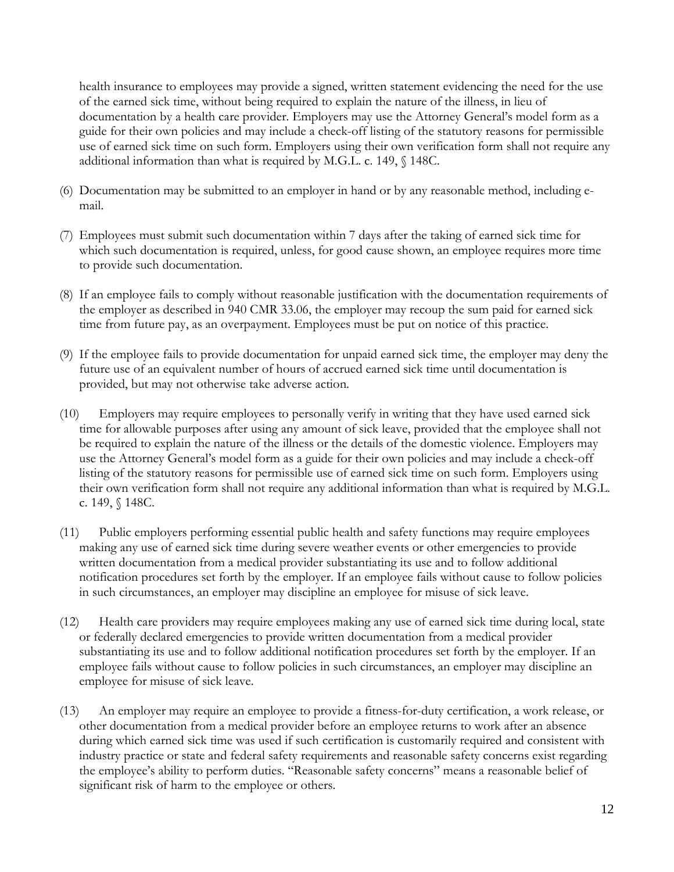health insurance to employees may provide a signed, written statement evidencing the need for the use of the earned sick time, without being required to explain the nature of the illness, in lieu of documentation by a health care provider. Employers may use the Attorney General's model form as a guide for their own policies and may include a check-off listing of the statutory reasons for permissible use of earned sick time on such form. Employers using their own verification form shall not require any additional information than what is required by M.G.L. c. 149, § 148C.

- (6) Documentation may be submitted to an employer in hand or by any reasonable method, including email.
- (7) Employees must submit such documentation within 7 days after the taking of earned sick time for which such documentation is required, unless, for good cause shown, an employee requires more time to provide such documentation.
- (8) If an employee fails to comply without reasonable justification with the documentation requirements of the employer as described in 940 CMR 33.06, the employer may recoup the sum paid for earned sick time from future pay, as an overpayment. Employees must be put on notice of this practice.
- (9) If the employee fails to provide documentation for unpaid earned sick time, the employer may deny the future use of an equivalent number of hours of accrued earned sick time until documentation is provided, but may not otherwise take adverse action.
- (10) Employers may require employees to personally verify in writing that they have used earned sick time for allowable purposes after using any amount of sick leave, provided that the employee shall not be required to explain the nature of the illness or the details of the domestic violence. Employers may use the Attorney General's model form as a guide for their own policies and may include a check-off listing of the statutory reasons for permissible use of earned sick time on such form. Employers using their own verification form shall not require any additional information than what is required by M.G.L. c. 149, § 148C.
- (11) Public employers performing essential public health and safety functions may require employees making any use of earned sick time during severe weather events or other emergencies to provide written documentation from a medical provider substantiating its use and to follow additional notification procedures set forth by the employer. If an employee fails without cause to follow policies in such circumstances, an employer may discipline an employee for misuse of sick leave.
- (12) Health care providers may require employees making any use of earned sick time during local, state or federally declared emergencies to provide written documentation from a medical provider substantiating its use and to follow additional notification procedures set forth by the employer. If an employee fails without cause to follow policies in such circumstances, an employer may discipline an employee for misuse of sick leave.
- (13) An employer may require an employee to provide a fitness-for-duty certification, a work release, or other documentation from a medical provider before an employee returns to work after an absence during which earned sick time was used if such certification is customarily required and consistent with industry practice or state and federal safety requirements and reasonable safety concerns exist regarding the employee's ability to perform duties. "Reasonable safety concerns" means a reasonable belief of significant risk of harm to the employee or others.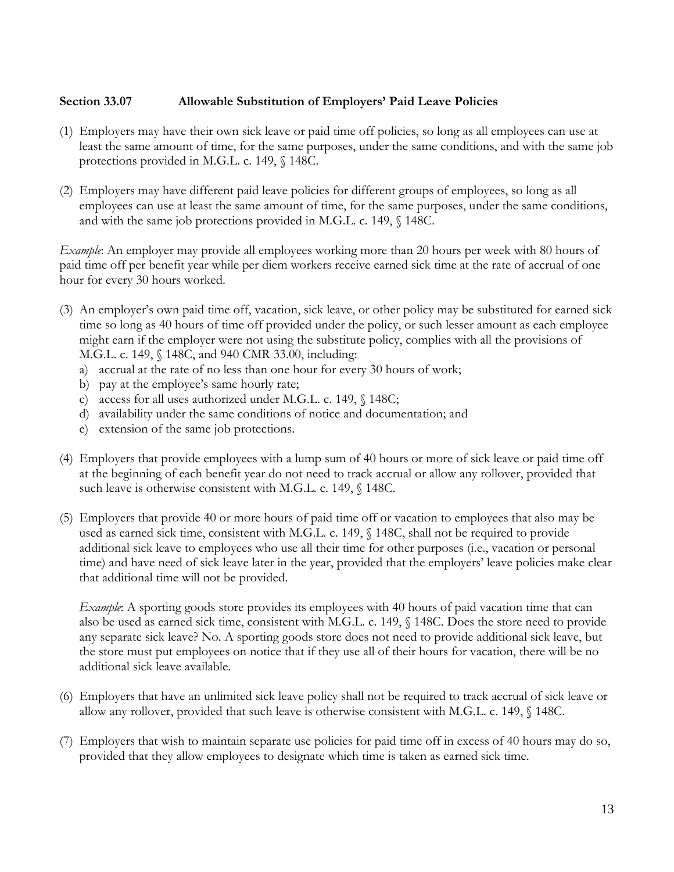### **Section 33.07 Allowable Substitution of Employers' Paid Leave Policies**

- (1) Employers may have their own sick leave or paid time off policies, so long as all employees can use at least the same amount of time, for the same purposes, under the same conditions, and with the same job protections provided in M.G.L. c. 149, § 148C.
- (2) Employers may have different paid leave policies for different groups of employees, so long as all employees can use at least the same amount of time, for the same purposes, under the same conditions, and with the same job protections provided in M.G.L. c. 149, § 148C.

*Example*: An employer may provide all employees working more than 20 hours per week with 80 hours of paid time off per benefit year while per diem workers receive earned sick time at the rate of accrual of one hour for every 30 hours worked.

- (3) An employer's own paid time off, vacation, sick leave, or other policy may be substituted for earned sick time so long as 40 hours of time off provided under the policy, or such lesser amount as each employee might earn if the employer were not using the substitute policy, complies with all the provisions of M.G.L. c. 149, § 148C, and 940 CMR 33.00, including:
	- a) accrual at the rate of no less than one hour for every 30 hours of work;
	- b) pay at the employee's same hourly rate;
	- c) access for all uses authorized under M.G.L. c. 149, § 148C;
	- d) availability under the same conditions of notice and documentation; and
	- e) extension of the same job protections.
- (4) Employers that provide employees with a lump sum of 40 hours or more of sick leave or paid time off at the beginning of each benefit year do not need to track accrual or allow any rollover, provided that such leave is otherwise consistent with M.G.L. c. 149,  $\sqrt{ }$  148C.
- (5) Employers that provide 40 or more hours of paid time off or vacation to employees that also may be used as earned sick time, consistent with M.G.L. c. 149, § 148C, shall not be required to provide additional sick leave to employees who use all their time for other purposes (i.e., vacation or personal time) and have need of sick leave later in the year, provided that the employers' leave policies make clear that additional time will not be provided.

*Example*: A sporting goods store provides its employees with 40 hours of paid vacation time that can also be used as earned sick time, consistent with M.G.L. c. 149, § 148C. Does the store need to provide any separate sick leave? No. A sporting goods store does not need to provide additional sick leave, but the store must put employees on notice that if they use all of their hours for vacation, there will be no additional sick leave available.

- (6) Employers that have an unlimited sick leave policy shall not be required to track accrual of sick leave or allow any rollover, provided that such leave is otherwise consistent with M.G.L. c. 149, § 148C.
- (7) Employers that wish to maintain separate use policies for paid time off in excess of 40 hours may do so, provided that they allow employees to designate which time is taken as earned sick time.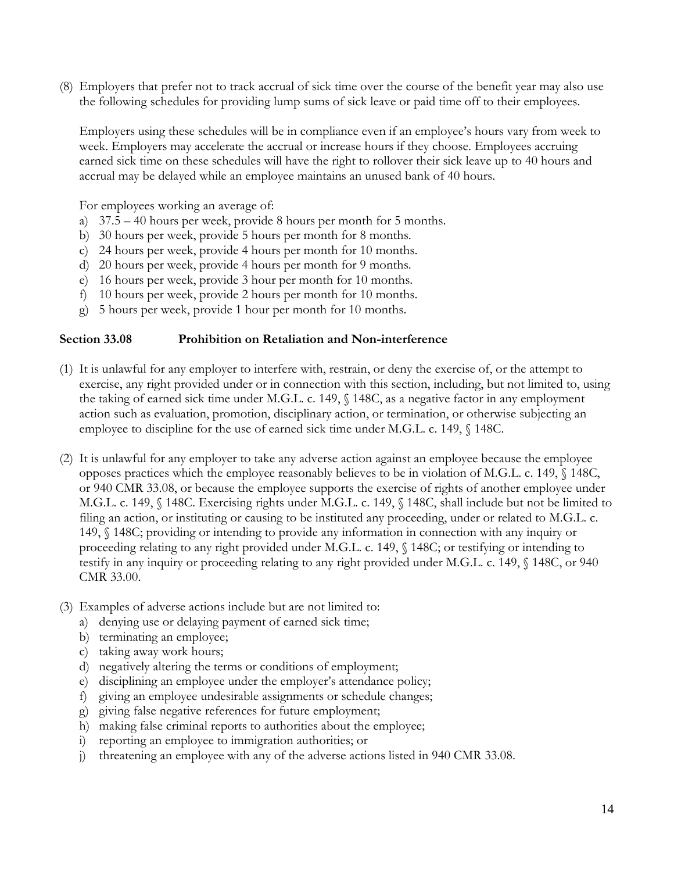(8) Employers that prefer not to track accrual of sick time over the course of the benefit year may also use the following schedules for providing lump sums of sick leave or paid time off to their employees.

Employers using these schedules will be in compliance even if an employee's hours vary from week to week. Employers may accelerate the accrual or increase hours if they choose. Employees accruing earned sick time on these schedules will have the right to rollover their sick leave up to 40 hours and accrual may be delayed while an employee maintains an unused bank of 40 hours.

For employees working an average of:

- a) 37.5 40 hours per week, provide 8 hours per month for 5 months.
- b) 30 hours per week, provide 5 hours per month for 8 months.
- c) 24 hours per week, provide 4 hours per month for 10 months.
- d) 20 hours per week, provide 4 hours per month for 9 months.
- e) 16 hours per week, provide 3 hour per month for 10 months.
- f) 10 hours per week, provide 2 hours per month for 10 months.
- g) 5 hours per week, provide 1 hour per month for 10 months.

#### **Section 33.08 Prohibition on Retaliation and Non-interference**

- (1) It is unlawful for any employer to interfere with, restrain, or deny the exercise of, or the attempt to exercise, any right provided under or in connection with this section, including, but not limited to, using the taking of earned sick time under M.G.L. c. 149, § 148C, as a negative factor in any employment action such as evaluation, promotion, disciplinary action, or termination, or otherwise subjecting an employee to discipline for the use of earned sick time under M.G.L. c. 149, § 148C.
- (2) It is unlawful for any employer to take any adverse action against an employee because the employee opposes practices which the employee reasonably believes to be in violation of M.G.L. c. 149, § 148C, or 940 CMR 33.08, or because the employee supports the exercise of rights of another employee under M.G.L. c. 149, § 148C. Exercising rights under M.G.L. c. 149, § 148C, shall include but not be limited to filing an action, or instituting or causing to be instituted any proceeding, under or related to M.G.L. c. 149, § 148C; providing or intending to provide any information in connection with any inquiry or proceeding relating to any right provided under M.G.L. c. 149, § 148C; or testifying or intending to testify in any inquiry or proceeding relating to any right provided under M.G.L. c. 149, § 148C, or 940 CMR 33.00.
- (3) Examples of adverse actions include but are not limited to:
	- a) denying use or delaying payment of earned sick time;
	- b) terminating an employee;
	- c) taking away work hours;
	- d) negatively altering the terms or conditions of employment;
	- e) disciplining an employee under the employer's attendance policy;
	- f) giving an employee undesirable assignments or schedule changes;
	- g) giving false negative references for future employment;
	- h) making false criminal reports to authorities about the employee;
	- i) reporting an employee to immigration authorities; or
	- j) threatening an employee with any of the adverse actions listed in 940 CMR 33.08.